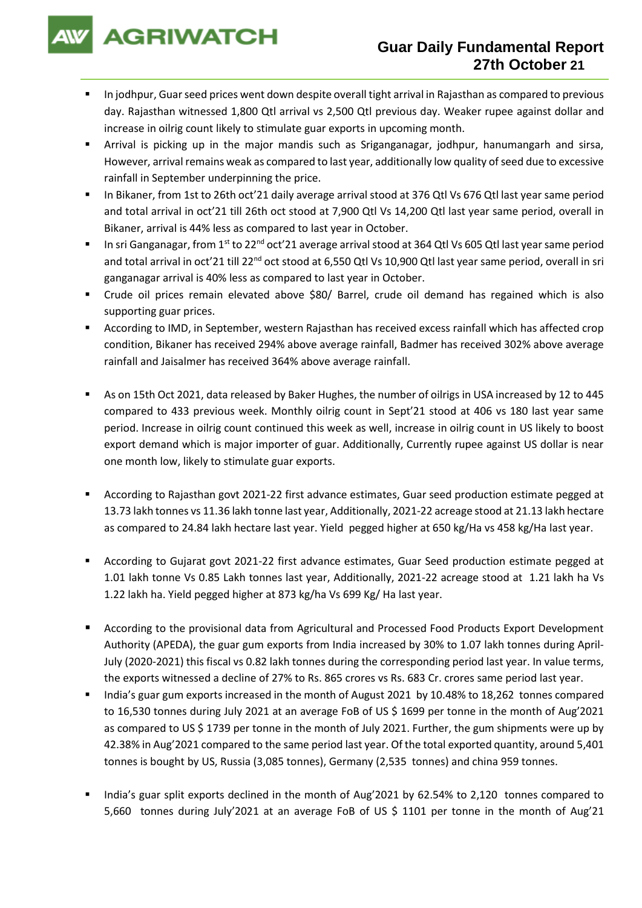**AGRIWATCH** 

- In jodhpur, Guar seed prices went down despite overall tight arrival in Rajasthan as compared to previous day. Rajasthan witnessed 1,800 Qtl arrival vs 2,500 Qtl previous day. Weaker rupee against dollar and increase in oilrig count likely to stimulate guar exports in upcoming month.
- Arrival is picking up in the major mandis such as Sriganganagar, jodhpur, hanumangarh and sirsa, However, arrival remains weak as compared to last year, additionally low quality of seed due to excessive rainfall in September underpinning the price.
- In Bikaner, from 1st to 26th oct'21 daily average arrival stood at 376 Qtl Vs 676 Qtl last year same period and total arrival in oct'21 till 26th oct stood at 7,900 Qtl Vs 14,200 Qtl last year same period, overall in Bikaner, arrival is 44% less as compared to last year in October.
- In sri Ganganagar, from 1<sup>st</sup> to 22<sup>nd</sup> oct'21 average arrival stood at 364 Qtl Vs 605 Qtl last year same period and total arrival in oct'21 till 22<sup>nd</sup> oct stood at 6,550 Qtl Vs 10,900 Qtl last year same period, overall in sri ganganagar arrival is 40% less as compared to last year in October.
- Crude oil prices remain elevated above \$80/ Barrel, crude oil demand has regained which is also supporting guar prices.
- According to IMD, in September, western Rajasthan has received excess rainfall which has affected crop condition, Bikaner has received 294% above average rainfall, Badmer has received 302% above average rainfall and Jaisalmer has received 364% above average rainfall.
- As on 15th Oct 2021, data released by Baker Hughes, the number of oilrigs in USA increased by 12 to 445 compared to 433 previous week. Monthly oilrig count in Sept'21 stood at 406 vs 180 last year same period. Increase in oilrig count continued this week as well, increase in oilrig count in US likely to boost export demand which is major importer of guar. Additionally, Currently rupee against US dollar is near one month low, likely to stimulate guar exports.
- According to Rajasthan govt 2021-22 first advance estimates, Guar seed production estimate pegged at 13.73 lakh tonnes vs 11.36 lakh tonne last year, Additionally, 2021-22 acreage stood at 21.13 lakh hectare as compared to 24.84 lakh hectare last year. Yield pegged higher at 650 kg/Ha vs 458 kg/Ha last year.
- According to Gujarat govt 2021-22 first advance estimates, Guar Seed production estimate pegged at 1.01 lakh tonne Vs 0.85 Lakh tonnes last year, Additionally, 2021-22 acreage stood at 1.21 lakh ha Vs 1.22 lakh ha. Yield pegged higher at 873 kg/ha Vs 699 Kg/ Ha last year.
- According to the provisional data from Agricultural and Processed Food Products Export Development Authority (APEDA), the guar gum exports from India increased by 30% to 1.07 lakh tonnes during April-July (2020-2021) this fiscal vs 0.82 lakh tonnes during the corresponding period last year. In value terms, the exports witnessed a decline of 27% to Rs. 865 crores vs Rs. 683 Cr. crores same period last year.
- India's guar gum exports increased in the month of August 2021 by 10.48% to 18,262 tonnes compared to 16,530 tonnes during July 2021 at an average FoB of US \$ 1699 per tonne in the month of Aug'2021 as compared to US \$ 1739 per tonne in the month of July 2021. Further, the gum shipments were up by 42.38% in Aug'2021 compared to the same period last year. Of the total exported quantity, around 5,401 tonnes is bought by US, Russia (3,085 tonnes), Germany (2,535 tonnes) and china 959 tonnes.
- India's guar split exports declined in the month of Aug'2021 by 62.54% to 2,120 tonnes compared to 5,660 tonnes during July'2021 at an average FoB of US \$ 1101 per tonne in the month of Aug'21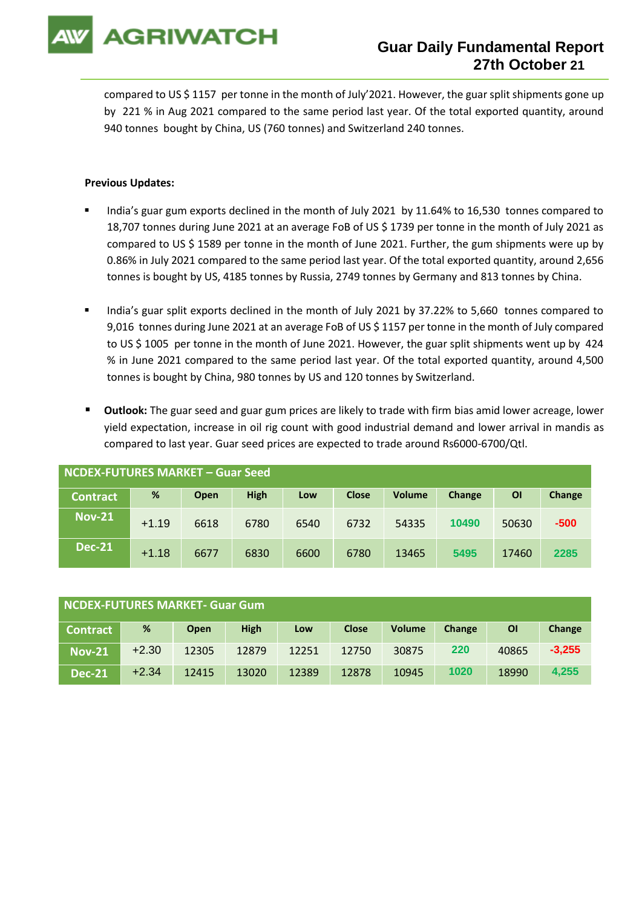

compared to US \$ 1157 per tonne in the month of July'2021. However, the guar split shipments gone up by 221 % in Aug 2021 compared to the same period last year. Of the total exported quantity, around 940 tonnes bought by China, US (760 tonnes) and Switzerland 240 tonnes.

## **Previous Updates:**

- India's guar gum exports declined in the month of July 2021 by 11.64% to 16,530 tonnes compared to 18,707 tonnes during June 2021 at an average FoB of US \$ 1739 per tonne in the month of July 2021 as compared to US \$ 1589 per tonne in the month of June 2021. Further, the gum shipments were up by 0.86% in July 2021 compared to the same period last year. Of the total exported quantity, around 2,656 tonnes is bought by US, 4185 tonnes by Russia, 2749 tonnes by Germany and 813 tonnes by China.
- India's guar split exports declined in the month of July 2021 by 37.22% to 5,660 tonnes compared to 9,016 tonnes during June 2021 at an average FoB of US \$ 1157 per tonne in the month of July compared to US \$ 1005 per tonne in the month of June 2021. However, the guar split shipments went up by 424 % in June 2021 compared to the same period last year. Of the total exported quantity, around 4,500 tonnes is bought by China, 980 tonnes by US and 120 tonnes by Switzerland.
- **Outlook:** The guar seed and guar gum prices are likely to trade with firm bias amid lower acreage, lower yield expectation, increase in oil rig count with good industrial demand and lower arrival in mandis as compared to last year. Guar seed prices are expected to trade around Rs6000-6700/Qtl.

| <b>NCDEX-FUTURES MARKET - Guar Seed</b> |         |             |             |      |              |               |        |       |        |
|-----------------------------------------|---------|-------------|-------------|------|--------------|---------------|--------|-------|--------|
| <b>Contract</b>                         | %       | <b>Open</b> | <b>High</b> | Low  | <b>Close</b> | <b>Volume</b> | Change | ΟI    | Change |
| <b>Nov-21</b>                           | $+1.19$ | 6618        | 6780        | 6540 | 6732         | 54335         | 10490  | 50630 | $-500$ |
| <b>Dec-21</b>                           | $+1.18$ | 6677        | 6830        | 6600 | 6780         | 13465         | 5495   | 17460 | 2285   |

| NCDEX-FUTURES MARKET- Guar Gum |         |             |             |       |              |               |        |       |          |
|--------------------------------|---------|-------------|-------------|-------|--------------|---------------|--------|-------|----------|
| <b>Contract</b>                | %       | <b>Open</b> | <b>High</b> | Low   | <b>Close</b> | <b>Volume</b> | Change | ΟI    | Change   |
| <b>Nov-21</b>                  | $+2.30$ | 12305       | 12879       | 12251 | 12750        | 30875         | 220    | 40865 | $-3,255$ |
| <b>Dec-21</b>                  | $+2.34$ | 12415       | 13020       | 12389 | 12878        | 10945         | 1020   | 18990 | 4.255    |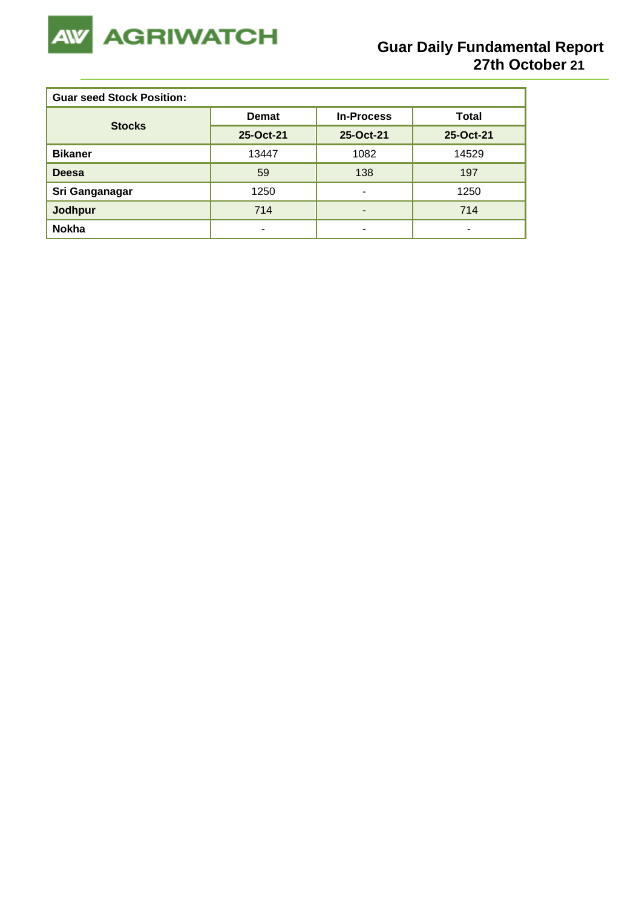

| <b>Guar seed Stock Position:</b> |              |                   |              |  |  |  |
|----------------------------------|--------------|-------------------|--------------|--|--|--|
| <b>Stocks</b>                    | <b>Demat</b> | <b>In-Process</b> | <b>Total</b> |  |  |  |
|                                  | 25-Oct-21    | 25-Oct-21         | 25-Oct-21    |  |  |  |
| <b>Bikaner</b>                   | 13447        | 1082              | 14529        |  |  |  |
| <b>Deesa</b>                     | 59           | 138               | 197          |  |  |  |
| Sri Ganganagar                   | 1250         | ۰                 | 1250         |  |  |  |
| Jodhpur                          | 714          |                   | 714          |  |  |  |
| <b>Nokha</b>                     | -            | -                 | -            |  |  |  |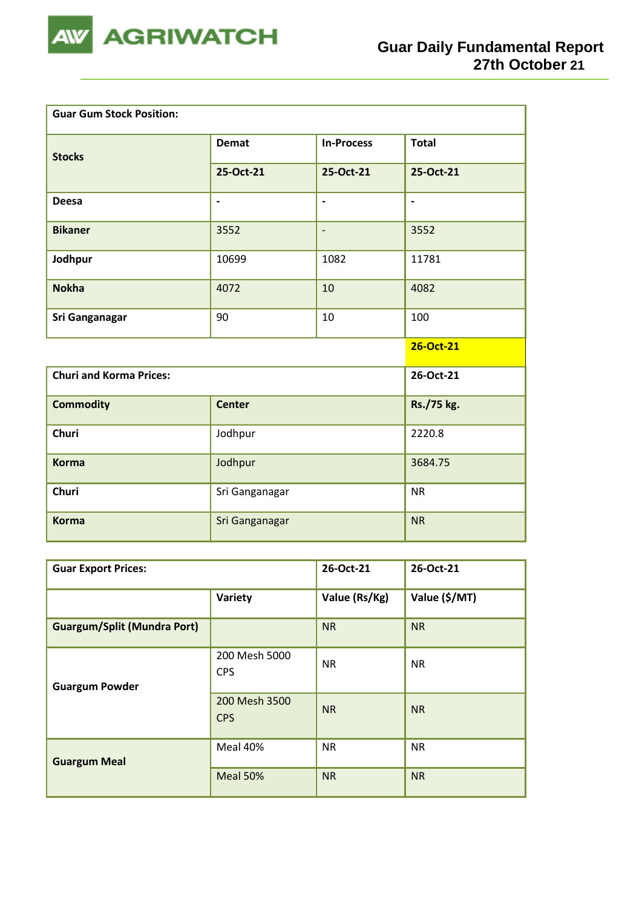

| <b>Guar Gum Stock Position:</b> |                          |                   |                          |  |  |  |
|---------------------------------|--------------------------|-------------------|--------------------------|--|--|--|
| <b>Stocks</b>                   | <b>Demat</b>             | <b>In-Process</b> | <b>Total</b>             |  |  |  |
|                                 | 25-Oct-21                | 25-Oct-21         | 25-Oct-21                |  |  |  |
| <b>Deesa</b>                    | $\overline{\phantom{a}}$ | $\blacksquare$    | $\overline{\phantom{a}}$ |  |  |  |
| <b>Bikaner</b>                  | 3552                     | $\overline{a}$    | 3552                     |  |  |  |
| Jodhpur                         | 10699                    | 1082              | 11781                    |  |  |  |
| <b>Nokha</b>                    | 4072                     | 10                | 4082                     |  |  |  |
| Sri Ganganagar                  | 90                       | 10                | 100                      |  |  |  |
|                                 |                          |                   | 26-Oct-21                |  |  |  |
| <b>Churi and Korma Prices:</b>  |                          |                   | 26-Oct-21                |  |  |  |
| <b>Commodity</b>                | <b>Center</b>            |                   | Rs./75 kg.               |  |  |  |
| <b>Churi</b>                    | Jodhpur                  |                   | 2220.8                   |  |  |  |
| <b>Korma</b>                    | Jodhpur                  | 3684.75           |                          |  |  |  |
| <b>Churi</b>                    | Sri Ganganagar           | <b>NR</b>         |                          |  |  |  |
| <b>Korma</b>                    | Sri Ganganagar           | <b>NR</b>         |                          |  |  |  |

| <b>Guar Export Prices:</b>         | 26-Oct-21                   | 26-Oct-21     |               |
|------------------------------------|-----------------------------|---------------|---------------|
|                                    | Variety                     | Value (Rs/Kg) | Value (\$/MT) |
| <b>Guargum/Split (Mundra Port)</b> |                             | <b>NR</b>     | <b>NR</b>     |
| <b>Guargum Powder</b>              | 200 Mesh 5000<br><b>CPS</b> | <b>NR</b>     | <b>NR</b>     |
|                                    | 200 Mesh 3500<br><b>CPS</b> | <b>NR</b>     | <b>NR</b>     |
| <b>Guargum Meal</b>                | Meal 40%                    | <b>NR</b>     | <b>NR</b>     |
|                                    | Meal 50%                    | <b>NR</b>     | <b>NR</b>     |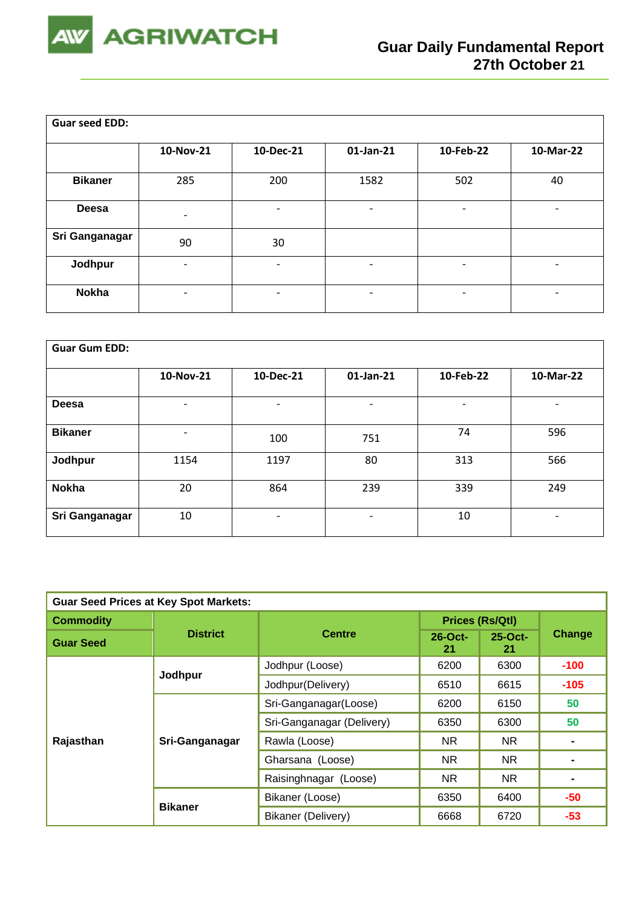

| <b>Guar seed EDD:</b> |                          |                          |                          |                          |           |  |  |  |
|-----------------------|--------------------------|--------------------------|--------------------------|--------------------------|-----------|--|--|--|
|                       | 10-Nov-21                | 10-Dec-21                | $01$ -Jan-21             | 10-Feb-22                | 10-Mar-22 |  |  |  |
| <b>Bikaner</b>        | 285                      | 200                      | 1582                     | 502                      | 40        |  |  |  |
| Deesa                 | $\overline{\phantom{a}}$ | -                        | $\overline{\phantom{0}}$ | -                        | -         |  |  |  |
| Sri Ganganagar        | 90                       | 30                       |                          |                          |           |  |  |  |
| Jodhpur               | $\overline{\phantom{a}}$ | $\overline{\phantom{0}}$ | $\overline{\phantom{a}}$ | -                        | -         |  |  |  |
| <b>Nokha</b>          | $\overline{\phantom{a}}$ | -                        | $\overline{\phantom{a}}$ | $\overline{\phantom{a}}$ | -         |  |  |  |

| <b>Guar Gum EDD:</b> |                          |           |           |                          |                          |  |  |  |
|----------------------|--------------------------|-----------|-----------|--------------------------|--------------------------|--|--|--|
|                      | 10-Nov-21                | 10-Dec-21 | 01-Jan-21 | 10-Feb-22                | 10-Mar-22                |  |  |  |
| Deesa                | $\overline{\phantom{a}}$ | ۰         | ٠         | $\overline{\phantom{a}}$ | $\overline{\phantom{a}}$ |  |  |  |
| <b>Bikaner</b>       |                          | 100       | 751       | 74                       | 596                      |  |  |  |
| Jodhpur              | 1154                     | 1197      | 80        | 313                      | 566                      |  |  |  |
| <b>Nokha</b>         | 20                       | 864       | 239       | 339                      | 249                      |  |  |  |
| Sri Ganganagar       | 10                       | ۰         | ٠         | 10                       | $\overline{\phantom{a}}$ |  |  |  |

| <b>Guar Seed Prices at Key Spot Markets:</b> |                 |                           |                        |                  |        |  |  |
|----------------------------------------------|-----------------|---------------------------|------------------------|------------------|--------|--|--|
| <b>Commodity</b>                             |                 |                           | <b>Prices (Rs/Qtl)</b> |                  |        |  |  |
| <b>Guar Seed</b>                             | <b>District</b> | <b>Centre</b>             | $26$ -Oct-<br>21       | $25$ -Oct-<br>21 | Change |  |  |
|                                              | Jodhpur         | Jodhpur (Loose)           | 6200                   | 6300             | $-100$ |  |  |
|                                              |                 | Jodhpur(Delivery)         | 6510                   | 6615             | $-105$ |  |  |
|                                              | Sri-Ganganagar  | Sri-Ganganagar(Loose)     | 6200                   | 6150             | 50     |  |  |
|                                              |                 | Sri-Ganganagar (Delivery) | 6350                   | 6300             | 50     |  |  |
| Rajasthan                                    |                 | Rawla (Loose)             | <b>NR</b>              | <b>NR</b>        |        |  |  |
|                                              |                 | Gharsana (Loose)          | NR.                    | NR.              |        |  |  |
| <b>Bikaner</b>                               |                 | Raisinghnagar (Loose)     | NR.                    | NR.              |        |  |  |
|                                              |                 | Bikaner (Loose)           | 6350                   | 6400             | $-50$  |  |  |
|                                              |                 | Bikaner (Delivery)        | 6668                   | 6720             | $-53$  |  |  |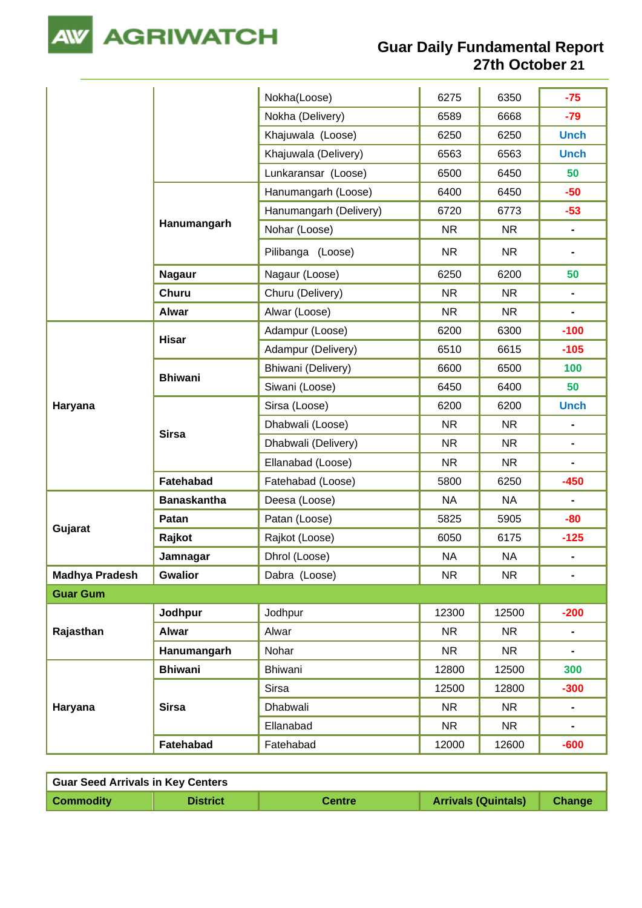

**Guar Daily Fundamental Report 27th October 21**

|                       |                    | Nokha(Loose)           | 6275      | 6350      | $-75$                        |
|-----------------------|--------------------|------------------------|-----------|-----------|------------------------------|
|                       |                    | Nokha (Delivery)       | 6589      | 6668      | $-79$                        |
|                       |                    | Khajuwala (Loose)      | 6250      | 6250      | <b>Unch</b>                  |
|                       |                    | Khajuwala (Delivery)   | 6563      | 6563      | <b>Unch</b>                  |
|                       |                    | Lunkaransar (Loose)    | 6500      | 6450      | 50                           |
|                       |                    | Hanumangarh (Loose)    | 6400      | 6450      | $-50$                        |
|                       |                    | Hanumangarh (Delivery) | 6720      | 6773      | $-53$                        |
|                       | Hanumangarh        | Nohar (Loose)          | NR.       | <b>NR</b> |                              |
|                       |                    | Pilibanga (Loose)      | <b>NR</b> | <b>NR</b> | $\qquad \qquad \blacksquare$ |
|                       | <b>Nagaur</b>      | Nagaur (Loose)         | 6250      | 6200      | 50                           |
|                       | <b>Churu</b>       | Churu (Delivery)       | <b>NR</b> | <b>NR</b> | $\blacksquare$               |
|                       | <b>Alwar</b>       | Alwar (Loose)          | <b>NR</b> | <b>NR</b> | $\blacksquare$               |
|                       | <b>Hisar</b>       | Adampur (Loose)        | 6200      | 6300      | $-100$                       |
|                       |                    | Adampur (Delivery)     | 6510      | 6615      | $-105$                       |
|                       | <b>Bhiwani</b>     | Bhiwani (Delivery)     | 6600      | 6500      | 100                          |
|                       |                    | Siwani (Loose)         | 6450      | 6400      | 50                           |
| Haryana               |                    | Sirsa (Loose)          | 6200      | 6200      | <b>Unch</b>                  |
|                       |                    |                        |           |           |                              |
|                       |                    | Dhabwali (Loose)       | <b>NR</b> | <b>NR</b> | $\blacksquare$               |
|                       | <b>Sirsa</b>       | Dhabwali (Delivery)    | <b>NR</b> | <b>NR</b> | -                            |
|                       |                    | Ellanabad (Loose)      | <b>NR</b> | <b>NR</b> | $\blacksquare$               |
|                       | Fatehabad          | Fatehabad (Loose)      | 5800      | 6250      | $-450$                       |
|                       | <b>Banaskantha</b> | Deesa (Loose)          | <b>NA</b> | <b>NA</b> |                              |
|                       | Patan              | Patan (Loose)          | 5825      | 5905      | $-80$                        |
| Gujarat               | Rajkot             | Rajkot (Loose)         | 6050      | 6175      | $-125$                       |
|                       | Jamnagar           | Dhrol (Loose)          | <b>NA</b> | <b>NA</b> | $\blacksquare$               |
| <b>Madhya Pradesh</b> | <b>Gwalior</b>     | Dabra (Loose)          | <b>NR</b> | <b>NR</b> | $\blacksquare$               |
| <b>Guar Gum</b>       |                    |                        |           |           |                              |
|                       | Jodhpur            | Jodhpur                | 12300     | 12500     | $-200$                       |
| Rajasthan             | <b>Alwar</b>       | Alwar                  | <b>NR</b> | <b>NR</b> | $\blacksquare$               |
|                       | Hanumangarh        | Nohar                  | <b>NR</b> | NR.       | -                            |
|                       | <b>Bhiwani</b>     | Bhiwani                | 12800     | 12500     | 300                          |
|                       |                    | <b>Sirsa</b>           | 12500     | 12800     | $-300$                       |
| Haryana               | <b>Sirsa</b>       | Dhabwali               | <b>NR</b> | <b>NR</b> |                              |
|                       |                    | Ellanabad              | <b>NR</b> | NR.       |                              |

| <b>Guar Seed Arrivals in Key Centers</b> |                 |               |                            |        |  |  |  |  |
|------------------------------------------|-----------------|---------------|----------------------------|--------|--|--|--|--|
| <b>Commodity</b>                         | <b>District</b> | <b>Centre</b> | <b>Arrivals (Quintals)</b> | Change |  |  |  |  |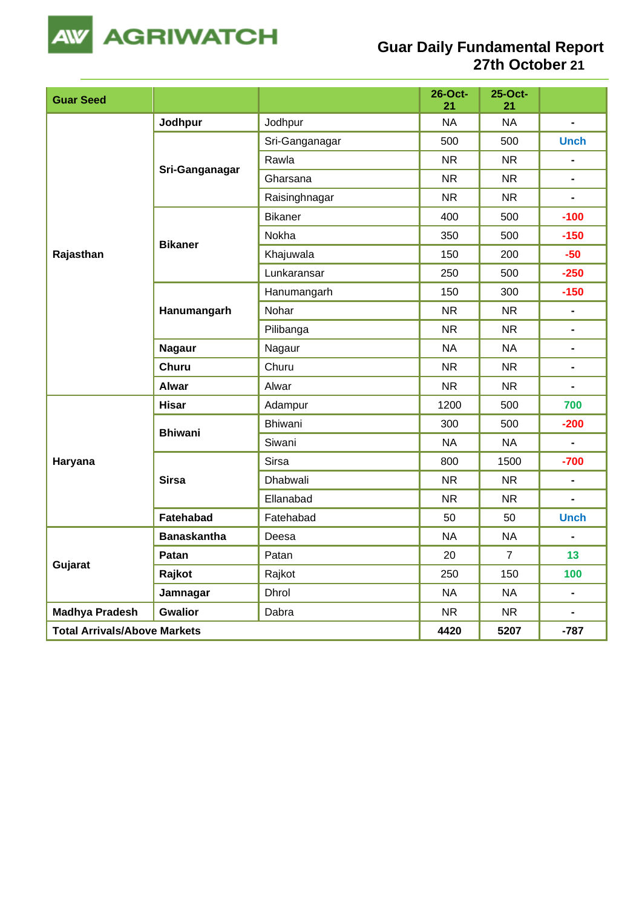

## **Guar Daily Fundamental Report 27th October 21**

| <b>Guar Seed</b>                    |                    |                | 26-Oct-<br>21 | 25-Oct-<br>21  |                |
|-------------------------------------|--------------------|----------------|---------------|----------------|----------------|
|                                     | Jodhpur            | Jodhpur        | <b>NA</b>     | <b>NA</b>      | $\blacksquare$ |
|                                     |                    | Sri-Ganganagar | 500           | 500            | <b>Unch</b>    |
|                                     |                    | Rawla          | <b>NR</b>     | <b>NR</b>      | $\blacksquare$ |
|                                     | Sri-Ganganagar     | Gharsana       | <b>NR</b>     | <b>NR</b>      |                |
|                                     |                    | Raisinghnagar  | <b>NR</b>     | <b>NR</b>      | $\blacksquare$ |
|                                     |                    | <b>Bikaner</b> | 400           | 500            | $-100$         |
|                                     | <b>Bikaner</b>     | Nokha          | 350           | 500            | $-150$         |
| Rajasthan                           |                    | Khajuwala      | 150           | 200            | $-50$          |
|                                     |                    | Lunkaransar    | 250           | 500            | $-250$         |
|                                     |                    | Hanumangarh    | 150           | 300            | $-150$         |
|                                     | Hanumangarh        | Nohar          | <b>NR</b>     | <b>NR</b>      | $\blacksquare$ |
|                                     |                    | Pilibanga      | <b>NR</b>     | <b>NR</b>      | -              |
|                                     | <b>Nagaur</b>      | Nagaur         | <b>NA</b>     | <b>NA</b>      | $\blacksquare$ |
|                                     | <b>Churu</b>       | Churu          | <b>NR</b>     | <b>NR</b>      | $\blacksquare$ |
|                                     | <b>Alwar</b>       | Alwar          | <b>NR</b>     | <b>NR</b>      | $\blacksquare$ |
|                                     | <b>Hisar</b>       | Adampur        | 1200          | 500            | 700            |
|                                     | <b>Bhiwani</b>     | Bhiwani        | 300           | 500            | $-200$         |
|                                     |                    | Siwani         | <b>NA</b>     | <b>NA</b>      |                |
| Haryana                             |                    | <b>Sirsa</b>   | 800           | 1500           | $-700$         |
|                                     | <b>Sirsa</b>       | Dhabwali       | <b>NR</b>     | <b>NR</b>      | $\blacksquare$ |
|                                     |                    | Ellanabad      | <b>NR</b>     | <b>NR</b>      | $\blacksquare$ |
|                                     | Fatehabad          | Fatehabad      | 50            | 50             | <b>Unch</b>    |
|                                     | <b>Banaskantha</b> | Deesa          | <b>NA</b>     | <b>NA</b>      |                |
|                                     | Patan              | Patan          | 20            | $\overline{7}$ | 13             |
| Gujarat                             | Rajkot             | Rajkot         | 250           | 150            | 100            |
|                                     | Jamnagar           | Dhrol          | <b>NA</b>     | <b>NA</b>      | $\blacksquare$ |
| <b>Madhya Pradesh</b>               | <b>Gwalior</b>     | Dabra          | <b>NR</b>     | <b>NR</b>      | $\blacksquare$ |
| <b>Total Arrivals/Above Markets</b> |                    |                | 4420          | 5207           | $-787$         |